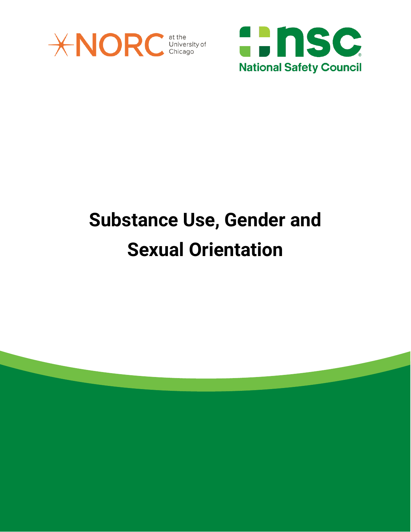



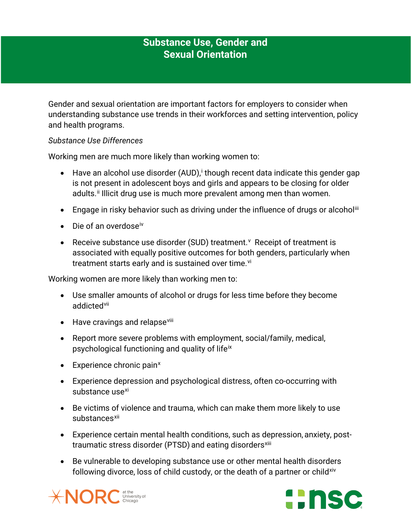Gender and sexual orientation are important factors for employers to consider when understanding substance use trends in their workforces and setting intervention, policy and health programs.

#### *Substance Use Differences*

Working men are much more likely than working women to:

- Have an alcohol use d[i](#page-5-0)sorder (AUD), though recent data indicate this gender gap is not present in adolescent boys and girls and appears to be closing for older adults.<sup>[ii](#page-5-1)</sup> Illicit drug use is much more prevalent among men than women.
- Engage in risky behavior such as driving under the influence of drugs or alcohol<sup>[iii](#page-5-2)</sup>
- $\bullet$  Die of an overdose<sup>[iv](#page-5-3)</sup>
- Recei[v](#page-5-4)e substance use disorder (SUD) treatment. Y Receipt of treatment is associated with equally positive outcomes for both genders, particularly when treatment starts early and is sustained over time.<sup>[vi](#page-5-5)</sup>

Working women are more likely than working men to:

- Use smaller amounts of alcohol or drugs for less time before they become addicted<sup>[vii](#page-5-6)</sup>
- Have cravings and relapse<sup>[viii](#page-5-7)</sup>
- Report more severe problems with employment, social/family, medical, psychological functioning and quality of life[ix](#page-5-8)
- $\bullet$  E[x](#page-5-9)perience chronic pain<sup>x</sup>
- Experience depression and psychological distress, often co-occurring with substance use<sup>[xi](#page-5-10)</sup>
- Be victims of violence and trauma, which can make them more likely to use substances<sup>[xii](#page-5-11)</sup>
- Experience certain mental health conditions, such as depression, anxiety, posttraumatic stress disorder (PTSD) and eating disorders<sup>[xiii](#page-5-12)</sup>
- Be vulnerable to developing substance use or other mental health disorders following divorce, loss of child custody, or the death of a partner or child<sup>[xiv](#page-5-13)</sup>



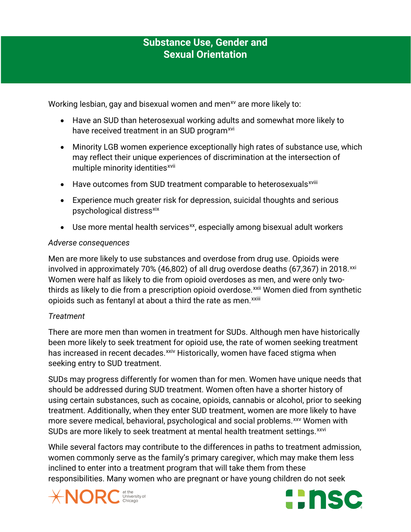Working lesbian, gay and bisexual women and men<sup>[xv](#page-5-14)</sup> are more likely to:

- Have an SUD than heterosexual working adults and somewhat more likely to have received treatment in an SUD program<sup>[xvi](#page-5-15)</sup>
- Minority LGB women experience exceptionally high rates of substance use, which may reflect their unique experiences of discrimination at the intersection of multiple minority identities<sup>[xvii](#page-5-16)</sup>
- Have outcomes from SUD treatment comparable to heterosexuals<sup>xv[i](#page-5-17)ii</sup>
- Experience much greater risk for depression, suicidal thoughts and serious psychological distress<sup>[xix](#page-5-18)</sup>
- Use more mental health services<sup>xx</sup>, especially among bisexual adult workers

#### *Adverse consequences*

Men are more likely to use substances and overdose from drug use. Opioids were involved in approximately 70% (46,802) of all drug overdose deaths (67,367) in 2018. $^{xxi}$  $^{xxi}$  $^{xxi}$ opioidssuch as fentanyl at about a third the rate as men. XXIII Women were half as likely to die from opioid overdoses as men, and were only twothirds as likely to die from a prescription opioid overdose.<sup>[xxii](#page-5-21)</sup> Women died from synthetic

## *Treatment*

There are more men than women in treatment for SUDs. Although men have historically been more likely to seek treatment for opioid use, the rate of women seeking treatment has increased in recent decades.<sup>[xxiv](#page-5-23)</sup> Historically, women have faced stigma when seeking entry to SUD treatment.

SUDs may progress differently for women than for men. Women have unique needs that should be addressed during SUD treatment. Women often have a shorter history of using certain substances, such as cocaine, opioids, cannabis or alcohol, prior to seeking treatment. Additionally, when they enter SUD treatment, women are more likely to have more severe medical, behavioral, psychological and social problems.<sup>[xxv](#page-5-24)</sup> Women with SUDs are more likely to seek treatment at mental health treatment settings. [xxvi](#page-6-0)

While several factors may contribute to the differences in paths to treatment admission, women commonly serve as the family's primary caregiver, which may make them less inclined to enter into a treatment program that will take them from these responsibilities. Many women who are pregnant or have young children do not seek



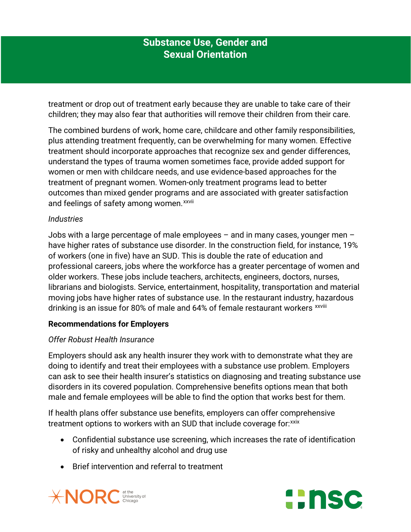treatment or drop out of treatment early because they are unable to take care of their children; they may also fear that authorities will remove their children from their care.

The combined burdens of work, home care, childcare and other family responsibilities, plus attending treatment frequently, can be overwhelming for many women. Effective treatment should incorporate approaches that recognize sex and gender differences, understand the types of trauma women sometimes face, provide added support for women or men with childcare needs, and use evidence-based approaches for the treatment of pregnant women. Women-only treatment programs lead to better outcomes than mixed gender programs and are associated with greater satisfaction and feelings of safety among women.<sup>xxvii</sup>

#### *Industries*

Jobs with a large percentage of male employees – and in many cases, younger men – have higher rates of substance use disorder. In the construction field, for instance, 19% of workers (one in five) have an SUD. This is double the rate of education and professional careers, jobs where the workforce has a greater percentage of women and older workers. These jobs include teachers, architects, engineers, doctors, nurses, librarians and biologists. Service, entertainment, hospitality, transportation and material moving jobs have higher rates of substance use. In the restaurant industry, hazardous drinking is an issue for 80% of male and 64% of female restaurant workers xxviii

## **Recommendations for Employers**

## *Offer Robust Health Insurance*

Employers should ask any health insurer they work with to demonstrate what they are doing to identify and treat their employees with a substance use problem. Employers can ask to see their health insurer's statistics on diagnosing and treating substance use disorders in its covered population. Comprehensive benefits options mean that both male and female employees will be able to find the option that works best for them.

If health plans offer substance use benefits, employers can offer comprehensive treatment options to workers with an SUD that include coverage for: [xxix](#page-6-1)

- Confidential substance use screening, which increases the rate of identification of risky and unhealthy alcohol and drug use
- Brief intervention and referral to treatment



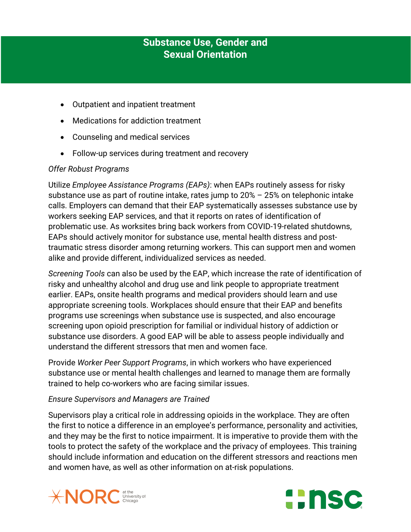- Outpatient and inpatient treatment
- Medications for addiction treatment
- Counseling and medical services
- Follow-up services during treatment and recovery

## *Offer Robust Programs*

Utilize *Employee Assistance Programs (EAPs)*: when EAPs routinely assess for risky substance use as part of routine intake, rates jump to 20% – 25% on telephonic intake calls. Employers can demand that their EAP systematically assesses substance use by workers seeking EAP services, and that it reports on rates of identification of problematic use. As worksites bring back workers from COVID-19-related shutdowns, EAPs should actively monitor for substance use, mental health distress and posttraumatic stress disorder among returning workers. This can support men and women alike and provide different, individualized services as needed.

*Screening Tools* can also be used by the EAP, which increase the rate of identification of risky and unhealthy alcohol and drug use and link people to appropriate treatment earlier. EAPs, onsite health programs and medical providers should learn and use appropriate screening tools. Workplaces should ensure that their EAP and benefits programs use screenings when substance use is suspected, and also encourage screening upon opioid prescription for familial or individual history of addiction or substance use disorders. A good EAP will be able to assess people individually and understand the different stressors that men and women face.

Provide *Worker Peer Support Programs*, in which workers who have experienced substance use or mental health challenges and learned to manage them are formally trained to help co-workers who are facing similar issues.

## *Ensure Supervisors and Managers are Trained*

Supervisors play a critical role in addressing opioids in the workplace. They are often the first to notice a difference in an employee's performance, personality and activities, and they may be the first to notice impairment. It is imperative to provide them with the tools to protect the safety of the workplace and the privacy of employees. This training should include information and education on the different stressors and reactions men and women have, as well as other information on at-risk populations.



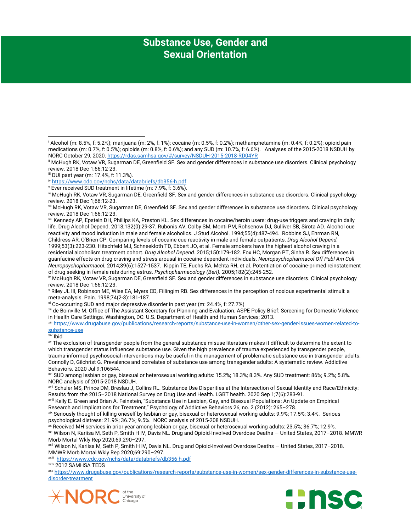<span id="page-5-7"></span>viii Kennedy AP, Epstein DH, Phillips KA, Preston KL. Sex differences in cocaine/heroin users: drug-use triggers and craving in daily life. Drug Alcohol Depend. 2013;132(0):29-37. Rubonis AV, Colby SM, Monti PM, Rohsenow DJ, Gulliver SB, Sirota AD. Alcohol cue reactivity and mood induction in male and female alcoholics. J Stud Alcohol. 1994;55(4):487-494. Robbins SJ, Ehrman RN, Childress AR, O'Brien CP. Comparing levels of cocaine cue reactivity in male and female outpatients. *Drug Alcohol Depend.* 1999;53(3):223-230. Hitschfeld MJ, Schneekloth TD, Ebbert JO, et al. Female smokers have the highest alcohol craving in a residential alcoholism treatment cohort. *Drug Alcohol Depend.* 2015;150:179-182. Fox HC, Morgan PT, Sinha R. Sex differences in guanfacine effects on drug craving and stress arousal in cocaine-dependent individuals. *Neuropsychopharmacol Off Publ Am Coll Neuropsychopharmacol.* 2014;39(6):1527-1537. Kippin TE, Fuchs RA, Mehta RH, et al. Potentiation of cocaine-primed reinstatement

<span id="page-5-8"></span>ix McHugh RK, Votaw VR, Sugarman DE, Greenfield SF. Sex and gender differences in substance use disorders. Clinical psychology review. 2018 Dec 1;66:12-23.

<span id="page-5-9"></span><sup>x</sup> Riley JL III, Robinson ME, Wise EA, Myers CD, Fillingim RB. Sex differences in the perception of noxious experimental stimuli: a meta-analysis. Pain. 1998;74(2-3):181-187.

xi Co-occurring SUD and major depressive disorder in past year (m: 24.4%, f: 27.7%)

<span id="page-5-11"></span><span id="page-5-10"></span>xii de Boinville M. Office of The Assistant Secretary for Planning and Evaluation. ASPE Policy Brief: Screening for Domestic Violence in Health Care Settings. Washington, DC: U.S. Department of Health and Human Services; 2013.

<span id="page-5-12"></span>xiii [https://www.drugabuse.gov/publications/research-reports/substance-use-in-women/other-sex-gender-issues-women-related-to](https://www.drugabuse.gov/publications/research-reports/substance-use-in-women/other-sex-gender-issues-women-related-to-substance-use)[substance-use](https://www.drugabuse.gov/publications/research-reports/substance-use-in-women/other-sex-gender-issues-women-related-to-substance-use)

l

<span id="page-5-14"></span>xv The exclusion of transgender people from the general substance misuse literature makes it difficult to determine the extent to which transgender status influences substance use. Given the high prevalence of trauma experienced by transgender people, trauma-informed psychosocial interventions may be useful in the management of problematic substance use in transgender adults. Connolly D, Gilchrist G. Prevalence and correlates of substance use among transgender adults: A systematic review. Addictive Behaviors. 2020 Jul 9:106544.

<span id="page-5-15"></span>xvi SUD among lesbian or gay, bisexual or heterosexual working adults: 15.2%; 18.3%; 8.3%. Any SUD treatment: 86%; 9.2%; 5.8%. NORC analysis of 2015-2018 NSDUH.

<span id="page-5-17"></span>xviii Kelly E. Green and Brian A. Feinstein, "Substance Use in Lesbian, Gay, and Bisexual Populations: An Update on Empirical Research and Implications for Treatment," Psychology of Addictive Behaviors 26, no. 2 (2012): 265–278.

<span id="page-5-18"></span>xix Seriously thought of killing oneself by lesbian or gay, bisexual or heterosexual working adults: 9.9%; 17.5%; 3.4%. Serious psychological distress: 21.9%; 36.7%; 9.5%. NORC analysis of 2015-208 NSDUH.

<span id="page-5-20"></span><span id="page-5-19"></span>xx Received MH services in prior year among lesbian or gay, bisexual or heterosexual working adults: 23.5%; 36.7%; 12.9%. xxi Wilson N, Kariisa M, Seth P, Smith H IV, Davis NL. Drug and Opioid-Involved Overdose Deaths — United States, 2017–2018. MMWR Morb Mortal Wkly Rep 2020;69:290–297.<br>xxii Wilson N, Kariisa M, Seth P, Smith H IV, Davis NL. Drug and Opioid-Involved Overdose Deaths — United States, 2017–2018.

<span id="page-5-21"></span>MMWR Morb Mortal Wkly Rep 2020;69:290-297.<br>xxiii<https://www.cdc.gov/nchs/data/databriefs/db356-h.pdf>

xxiv 2012 SAMHSA TEDS

<span id="page-5-24"></span><span id="page-5-23"></span><span id="page-5-22"></span>xxv [https://www.drugabuse.gov/publications/research-reports/substance-use-in-women/sex-gender-differences-in-substance-use](https://www.drugabuse.gov/publications/research-reports/substance-use-in-women/sex-gender-differences-in-substance-use-disorder-treatment)[disorder-treatment](https://www.drugabuse.gov/publications/research-reports/substance-use-in-women/sex-gender-differences-in-substance-use-disorder-treatment)





<span id="page-5-0"></span><sup>i</sup> Alcohol (m: 8.5%, f: 5.2%); marijuana (m: 2%, f: 1%); cocaine (m: 0.5%, f: 0.2%); methamphetamine (m: 0.4%, f: 0.2%); opioid pain medications (m: 0.7%, f: 0.5%); opioids (m: 0.8%, f: 0.6%); and any SUD (m: 10.7%, f: 6.6%). Analyses of the 2015-2018 NSDUH by NORC October 29, 2020[. https://rdas.samhsa.gov/#/survey/NSDUH-2015-2018-RD04YR](https://rdas.samhsa.gov/#/survey/NSDUH-2015-2018-RD04YR)

<span id="page-5-1"></span>ii McHugh RK, Votaw VR, Sugarman DE, Greenfield SF. Sex and gender differences in substance use disorders. Clinical psychology review. 2018 Dec 1;66:12-23.

<span id="page-5-2"></span>iii DUI past year (m: 17.4%, f: 11.3%).

<span id="page-5-3"></span>iv <https://www.cdc.gov/nchs/data/databriefs/db356-h.pdf>

 $v$  Ever received SUD treatment in lifetime (m: 7.9%, f: 3.6%).

<span id="page-5-5"></span><span id="page-5-4"></span>vi McHugh RK, Votaw VR, Sugarman DE, Greenfield SF. Sex and gender differences in substance use disorders. Clinical psychology review. 2018 Dec 1;66:12-23.

<span id="page-5-6"></span>vii McHugh RK, Votaw VR, Sugarman DE, Greenfield SF. Sex and gender differences in substance use disorders. Clinical psychology review. 2018 Dec 1;66:12-23.

<span id="page-5-13"></span>xiv Ibid

<span id="page-5-16"></span>xvii Schuler MS, Prince DM, Breslau J, Collins RL. Substance Use Disparities at the Intersection of Sexual Identity and Race/Ethnicity: Results from the 2015–2018 National Survey on Drug Use and Health. LGBT health. 2020 Sep 1;7(6):283-91.